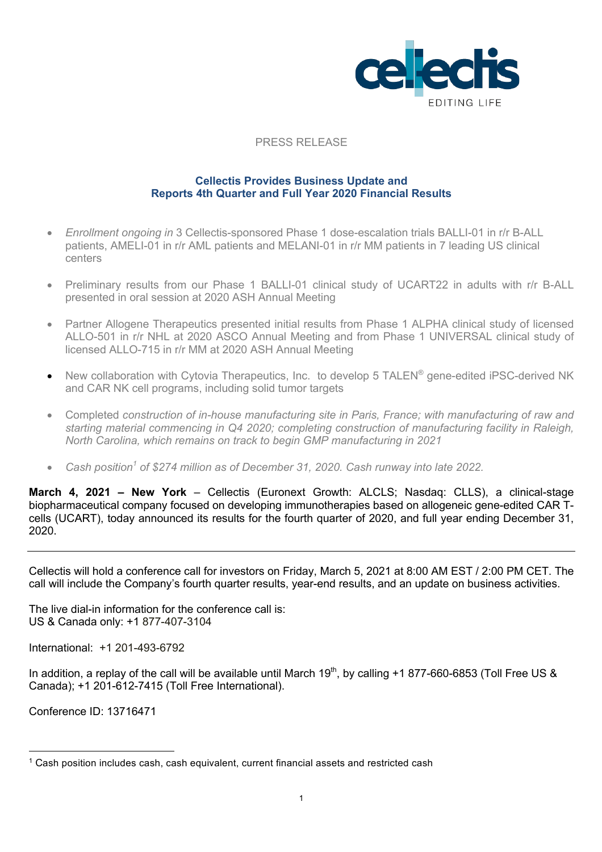

#### PRESS RELEASE

#### **Cellectis Provides Business Update and Reports 4th Quarter and Full Year 2020 Financial Results**

- *Enrollment ongoing in* 3 Cellectis-sponsored Phase 1 dose-escalation trials BALLI-01 in r/r B-ALL patients, AMELI-01 in r/r AML patients and MELANI-01 in r/r MM patients in 7 leading US clinical centers
- Preliminary results from our Phase 1 BALLI-01 clinical study of UCART22 in adults with r/r B-ALL presented in oral session at 2020 ASH Annual Meeting
- Partner Allogene Therapeutics presented initial results from Phase 1 ALPHA clinical study of licensed ALLO-501 in r/r NHL at 2020 ASCO Annual Meeting and from Phase 1 UNIVERSAL clinical study of licensed ALLO-715 in r/r MM at 2020 ASH Annual Meeting
- New collaboration with Cytovia Therapeutics, Inc. to develop 5 TALEN® gene-edited iPSC-derived NK and CAR NK cell programs, including solid tumor targets
- Completed *construction of in-house manufacturing site in Paris, France; with manufacturing of raw and starting material commencing in Q4 2020; completing construction of manufacturing facility in Raleigh, North Carolina, which remains on track to begin GMP manufacturing in 2021*
- *Cash position<sup>1</sup> of \$274 million as of December 31, 2020. Cash runway into late 2022.*

**March 4, 2021 – New York** – Cellectis (Euronext Growth: ALCLS; Nasdaq: CLLS), a clinical-stage biopharmaceutical company focused on developing immunotherapies based on allogeneic gene-edited CAR Tcells (UCART), today announced its results for the fourth quarter of 2020, and full year ending December 31, 2020.

Cellectis will hold a conference call for investors on Friday, March 5, 2021 at 8:00 AM EST / 2:00 PM CET. The call will include the Company's fourth quarter results, year-end results, and an update on business activities.

The live dial-in information for the conference call is: US & Canada only: +1 877-407-3104

International: +1 201-493-6792

In addition, a replay of the call will be available until March  $19<sup>th</sup>$ , by calling +1 877-660-6853 (Toll Free US & Canada); +1 201-612-7415 (Toll Free International).

Conference ID: 13716471

 $1$  Cash position includes cash, cash equivalent, current financial assets and restricted cash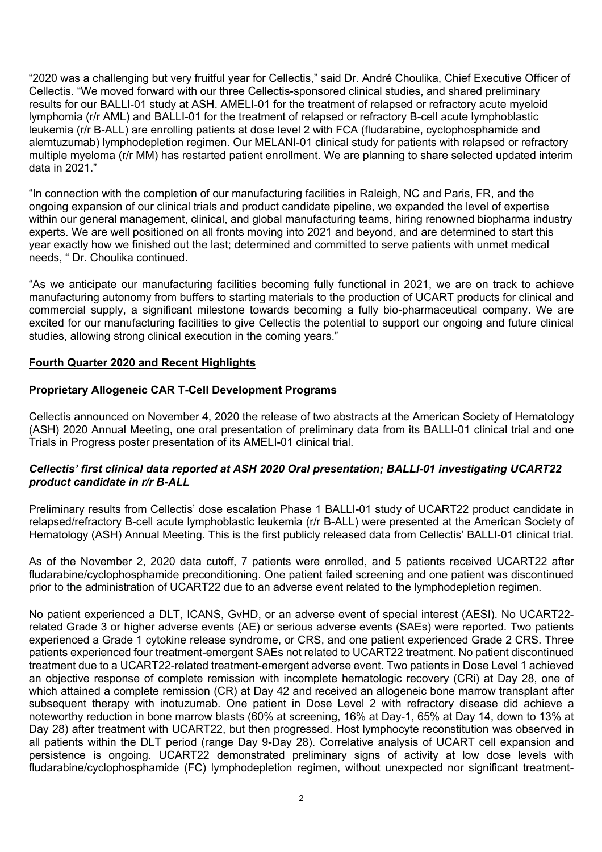"2020 was a challenging but very fruitful year for Cellectis," said Dr. André Choulika, Chief Executive Officer of Cellectis. "We moved forward with our three Cellectis-sponsored clinical studies, and shared preliminary results for our BALLI-01 study at ASH. AMELI-01 for the treatment of relapsed or refractory acute myeloid lymphomia (r/r AML) and BALLI-01 for the treatment of relapsed or refractory B-cell acute lymphoblastic leukemia (r/r B-ALL) are enrolling patients at dose level 2 with FCA (fludarabine, cyclophosphamide and alemtuzumab) lymphodepletion regimen. Our MELANI-01 clinical study for patients with relapsed or refractory multiple myeloma (r/r MM) has restarted patient enrollment. We are planning to share selected updated interim data in 2021."

"In connection with the completion of our manufacturing facilities in Raleigh, NC and Paris, FR, and the ongoing expansion of our clinical trials and product candidate pipeline, we expanded the level of expertise within our general management, clinical, and global manufacturing teams, hiring renowned biopharma industry experts. We are well positioned on all fronts moving into 2021 and beyond, and are determined to start this year exactly how we finished out the last; determined and committed to serve patients with unmet medical needs, " Dr. Choulika continued.

"As we anticipate our manufacturing facilities becoming fully functional in 2021, we are on track to achieve manufacturing autonomy from buffers to starting materials to the production of UCART products for clinical and commercial supply, a significant milestone towards becoming a fully bio-pharmaceutical company. We are excited for our manufacturing facilities to give Cellectis the potential to support our ongoing and future clinical studies, allowing strong clinical execution in the coming years."

## **Fourth Quarter 2020 and Recent Highlights**

## **Proprietary Allogeneic CAR T-Cell Development Programs**

Cellectis announced on November 4, 2020 the release of two abstracts at the American Society of Hematology (ASH) 2020 Annual Meeting, one oral presentation of preliminary data from its BALLI-01 clinical trial and one Trials in Progress poster presentation of its AMELI-01 clinical trial.

#### *Cellectis' first clinical data reported at ASH 2020 Oral presentation; BALLI-01 investigating UCART22 product candidate in r/r B-ALL*

Preliminary results from Cellectis' dose escalation Phase 1 BALLI-01 study of UCART22 product candidate in relapsed/refractory B-cell acute lymphoblastic leukemia (r/r B-ALL) were presented at the American Society of Hematology (ASH) Annual Meeting. This is the first publicly released data from Cellectis' BALLI-01 clinical trial.

As of the November 2, 2020 data cutoff, 7 patients were enrolled, and 5 patients received UCART22 after fludarabine/cyclophosphamide preconditioning. One patient failed screening and one patient was discontinued prior to the administration of UCART22 due to an adverse event related to the lymphodepletion regimen.

No patient experienced a DLT, ICANS, GvHD, or an adverse event of special interest (AESI). No UCART22 related Grade 3 or higher adverse events (AE) or serious adverse events (SAEs) were reported. Two patients experienced a Grade 1 cytokine release syndrome, or CRS, and one patient experienced Grade 2 CRS. Three patients experienced four treatment-emergent SAEs not related to UCART22 treatment. No patient discontinued treatment due to a UCART22-related treatment-emergent adverse event. Two patients in Dose Level 1 achieved an objective response of complete remission with incomplete hematologic recovery (CRi) at Day 28, one of which attained a complete remission (CR) at Day 42 and received an allogeneic bone marrow transplant after subsequent therapy with inotuzumab. One patient in Dose Level 2 with refractory disease did achieve a noteworthy reduction in bone marrow blasts (60% at screening, 16% at Day-1, 65% at Day 14, down to 13% at Day 28) after treatment with UCART22, but then progressed. Host lymphocyte reconstitution was observed in all patients within the DLT period (range Day 9-Day 28). Correlative analysis of UCART cell expansion and persistence is ongoing. UCART22 demonstrated preliminary signs of activity at low dose levels with fludarabine/cyclophosphamide (FC) lymphodepletion regimen, without unexpected nor significant treatment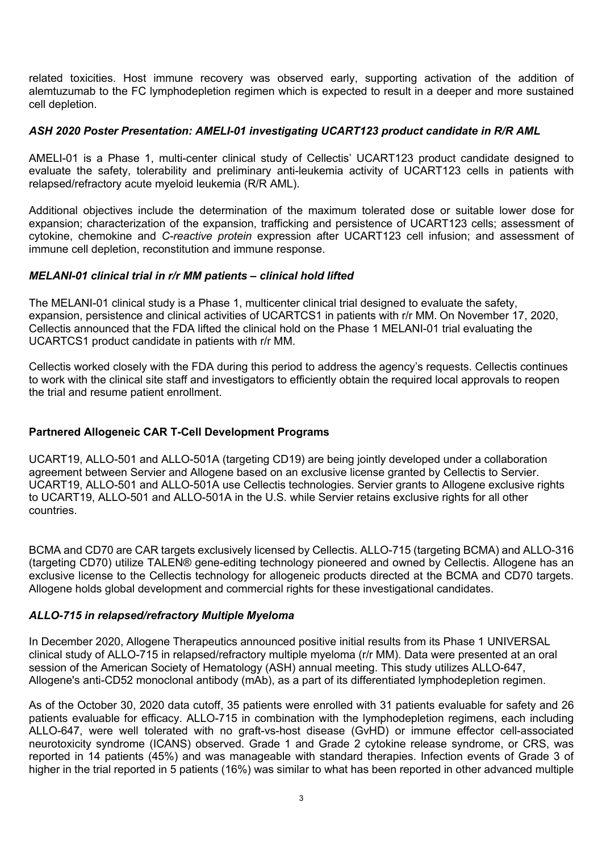related toxicities. Host immune recovery was observed early, supporting activation of the addition of alemtuzumab to the FC lymphodepletion regimen which is expected to result in a deeper and more sustained cell depletion.

### *ASH 2020 Poster Presentation: AMELI-01 investigating UCART123 product candidate in R/R AML*

AMELI-01 is a Phase 1, multi-center clinical study of Cellectis' UCART123 product candidate designed to evaluate the safety, tolerability and preliminary anti-leukemia activity of UCART123 cells in patients with relapsed/refractory acute myeloid leukemia (R/R AML).

Additional objectives include the determination of the maximum tolerated dose or suitable lower dose for expansion; characterization of the expansion, trafficking and persistence of UCART123 cells; assessment of cytokine, chemokine and *C-reactive protein* expression after UCART123 cell infusion; and assessment of immune cell depletion, reconstitution and immune response.

#### *MELANI-01 clinical trial in r/r MM patients – clinical hold lifted*

The MELANI-01 clinical study is a Phase 1, multicenter clinical trial designed to evaluate the safety, expansion, persistence and clinical activities of UCARTCS1 in patients with r/r MM. On November 17, 2020, Cellectis announced that the FDA lifted the clinical hold on the Phase 1 MELANI-01 trial evaluating the UCARTCS1 product candidate in patients with r/r MM.

Cellectis worked closely with the FDA during this period to address the agency's requests. Cellectis continues to work with the clinical site staff and investigators to efficiently obtain the required local approvals to reopen the trial and resume patient enrollment.

### **Partnered Allogeneic CAR T-Cell Development Programs**

UCART19, ALLO-501 and ALLO-501A (targeting CD19) are being jointly developed under a collaboration agreement between Servier and Allogene based on an exclusive license granted by Cellectis to Servier. UCART19, ALLO-501 and ALLO-501A use Cellectis technologies. Servier grants to Allogene exclusive rights to UCART19, ALLO-501 and ALLO-501A in the U.S. while Servier retains exclusive rights for all other countries.

BCMA and CD70 are CAR targets exclusively licensed by Cellectis. ALLO-715 (targeting BCMA) and ALLO-316 (targeting CD70) utilize TALEN® gene-editing technology pioneered and owned by Cellectis. Allogene has an exclusive license to the Cellectis technology for allogeneic products directed at the BCMA and CD70 targets. Allogene holds global development and commercial rights for these investigational candidates.

#### *ALLO-715 in relapsed/refractory Multiple Myeloma*

In December 2020, Allogene Therapeutics announced positive initial results from its Phase 1 UNIVERSAL clinical study of ALLO-715 in relapsed/refractory multiple myeloma (r/r MM). Data were presented at an oral session of the American Society of Hematology (ASH) annual meeting. This study utilizes ALLO-647, Allogene's anti-CD52 monoclonal antibody (mAb), as a part of its differentiated lymphodepletion regimen.

As of the October 30, 2020 data cutoff, 35 patients were enrolled with 31 patients evaluable for safety and 26 patients evaluable for efficacy. ALLO-715 in combination with the lymphodepletion regimens, each including ALLO-647, were well tolerated with no graft-vs-host disease (GvHD) or immune effector cell-associated neurotoxicity syndrome (ICANS) observed. Grade 1 and Grade 2 cytokine release syndrome, or CRS, was reported in 14 patients (45%) and was manageable with standard therapies. Infection events of Grade 3 of higher in the trial reported in 5 patients (16%) was similar to what has been reported in other advanced multiple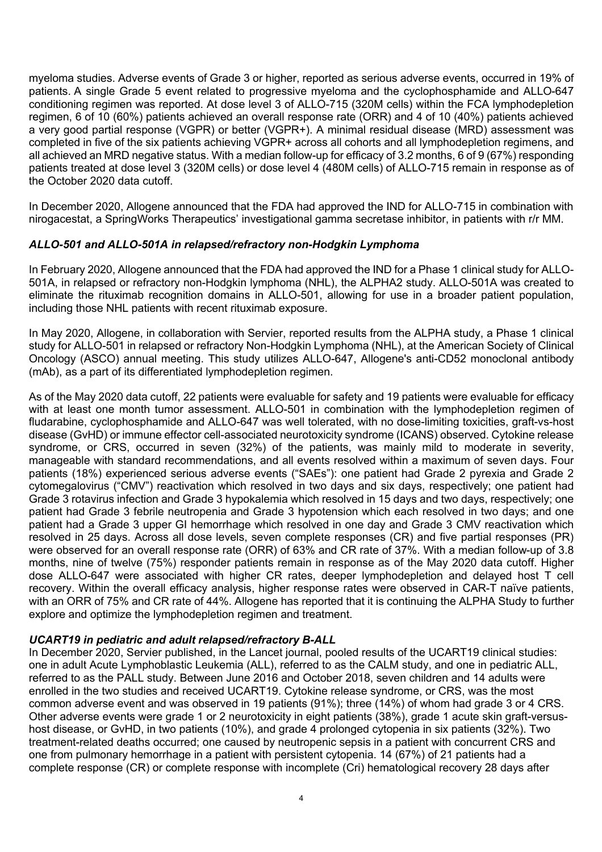myeloma studies. Adverse events of Grade 3 or higher, reported as serious adverse events, occurred in 19% of patients. A single Grade 5 event related to progressive myeloma and the cyclophosphamide and ALLO-647 conditioning regimen was reported. At dose level 3 of ALLO-715 (320M cells) within the FCA lymphodepletion regimen, 6 of 10 (60%) patients achieved an overall response rate (ORR) and 4 of 10 (40%) patients achieved a very good partial response (VGPR) or better (VGPR+). A minimal residual disease (MRD) assessment was completed in five of the six patients achieving VGPR+ across all cohorts and all lymphodepletion regimens, and all achieved an MRD negative status. With a median follow-up for efficacy of 3.2 months, 6 of 9 (67%) responding patients treated at dose level 3 (320M cells) or dose level 4 (480M cells) of ALLO-715 remain in response as of the October 2020 data cutoff.

In December 2020, Allogene announced that the FDA had approved the IND for ALLO-715 in combination with nirogacestat, a SpringWorks Therapeutics' investigational gamma secretase inhibitor, in patients with r/r MM.

## *ALLO-501 and ALLO-501A in relapsed/refractory non-Hodgkin Lymphoma*

In February 2020, Allogene announced that the FDA had approved the IND for a Phase 1 clinical study for ALLO-501A, in relapsed or refractory non-Hodgkin lymphoma (NHL), the ALPHA2 study. ALLO-501A was created to eliminate the rituximab recognition domains in ALLO-501, allowing for use in a broader patient population. including those NHL patients with recent rituximab exposure.

In May 2020, Allogene, in collaboration with Servier, reported results from the ALPHA study, a Phase 1 clinical study for ALLO-501 in relapsed or refractory Non-Hodgkin Lymphoma (NHL), at the American Society of Clinical Oncology (ASCO) annual meeting. This study utilizes ALLO-647, Allogene's anti-CD52 monoclonal antibody (mAb), as a part of its differentiated lymphodepletion regimen.

As of the May 2020 data cutoff, 22 patients were evaluable for safety and 19 patients were evaluable for efficacy with at least one month tumor assessment. ALLO-501 in combination with the lymphodepletion regimen of fludarabine, cyclophosphamide and ALLO-647 was well tolerated, with no dose-limiting toxicities, graft-vs-host disease (GvHD) or immune effector cell-associated neurotoxicity syndrome (ICANS) observed. Cytokine release syndrome, or CRS, occurred in seven (32%) of the patients, was mainly mild to moderate in severity, manageable with standard recommendations, and all events resolved within a maximum of seven days. Four patients (18%) experienced serious adverse events ("SAEs"): one patient had Grade 2 pyrexia and Grade 2 cytomegalovirus ("CMV") reactivation which resolved in two days and six days, respectively; one patient had Grade 3 rotavirus infection and Grade 3 hypokalemia which resolved in 15 days and two days, respectively; one patient had Grade 3 febrile neutropenia and Grade 3 hypotension which each resolved in two days; and one patient had a Grade 3 upper GI hemorrhage which resolved in one day and Grade 3 CMV reactivation which resolved in 25 days. Across all dose levels, seven complete responses (CR) and five partial responses (PR) were observed for an overall response rate (ORR) of 63% and CR rate of 37%. With a median follow-up of 3.8 months, nine of twelve (75%) responder patients remain in response as of the May 2020 data cutoff. Higher dose ALLO-647 were associated with higher CR rates, deeper lymphodepletion and delayed host T cell recovery. Within the overall efficacy analysis, higher response rates were observed in CAR-T naïve patients, with an ORR of 75% and CR rate of 44%. Allogene has reported that it is continuing the ALPHA Study to further explore and optimize the lymphodepletion regimen and treatment.

#### *UCART19 in pediatric and adult relapsed/refractory B-ALL*

In December 2020, Servier published, in the Lancet journal, pooled results of the UCART19 clinical studies: one in adult Acute Lymphoblastic Leukemia (ALL), referred to as the CALM study, and one in pediatric ALL, referred to as the PALL study. Between June 2016 and October 2018, seven children and 14 adults were enrolled in the two studies and received UCART19. Cytokine release syndrome, or CRS, was the most common adverse event and was observed in 19 patients (91%); three (14%) of whom had grade 3 or 4 CRS. Other adverse events were grade 1 or 2 neurotoxicity in eight patients (38%), grade 1 acute skin graft-versushost disease, or GvHD, in two patients (10%), and grade 4 prolonged cytopenia in six patients (32%). Two treatment-related deaths occurred; one caused by neutropenic sepsis in a patient with concurrent CRS and one from pulmonary hemorrhage in a patient with persistent cytopenia. 14 (67%) of 21 patients had a complete response (CR) or complete response with incomplete (Cri) hematological recovery 28 days after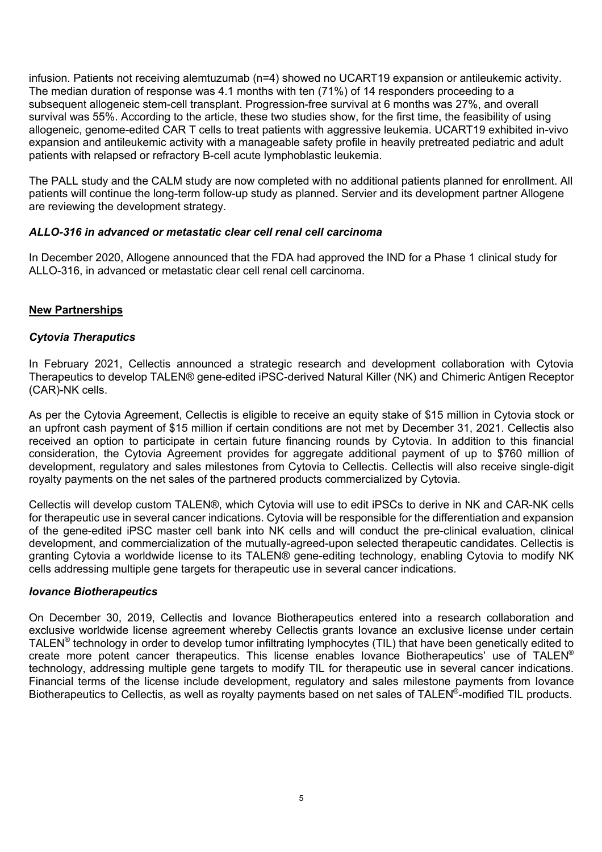infusion. Patients not receiving alemtuzumab (n=4) showed no UCART19 expansion or antileukemic activity. The median duration of response was 4.1 months with ten (71%) of 14 responders proceeding to a subsequent allogeneic stem-cell transplant. Progression-free survival at 6 months was 27%, and overall survival was 55%. According to the article, these two studies show, for the first time, the feasibility of using allogeneic, genome-edited CAR T cells to treat patients with aggressive leukemia. UCART19 exhibited in-vivo expansion and antileukemic activity with a manageable safety profile in heavily pretreated pediatric and adult patients with relapsed or refractory B-cell acute lymphoblastic leukemia.

The PALL study and the CALM study are now completed with no additional patients planned for enrollment. All patients will continue the long-term follow-up study as planned. Servier and its development partner Allogene are reviewing the development strategy.

#### *ALLO-316 in advanced or metastatic clear cell renal cell carcinoma*

In December 2020, Allogene announced that the FDA had approved the IND for a Phase 1 clinical study for ALLO-316, in advanced or metastatic clear cell renal cell carcinoma.

#### **New Partnerships**

#### *Cytovia Theraputics*

In February 2021, Cellectis announced a strategic research and development collaboration with Cytovia Therapeutics to develop TALEN® gene-edited iPSC-derived Natural Killer (NK) and Chimeric Antigen Receptor (CAR)-NK cells.

As per the Cytovia Agreement, Cellectis is eligible to receive an equity stake of \$15 million in Cytovia stock or an upfront cash payment of \$15 million if certain conditions are not met by December 31, 2021. Cellectis also received an option to participate in certain future financing rounds by Cytovia. In addition to this financial consideration, the Cytovia Agreement provides for aggregate additional payment of up to \$760 million of development, regulatory and sales milestones from Cytovia to Cellectis. Cellectis will also receive single-digit royalty payments on the net sales of the partnered products commercialized by Cytovia.

Cellectis will develop custom TALEN®, which Cytovia will use to edit iPSCs to derive in NK and CAR-NK cells for therapeutic use in several cancer indications. Cytovia will be responsible for the differentiation and expansion of the gene-edited iPSC master cell bank into NK cells and will conduct the pre-clinical evaluation, clinical development, and commercialization of the mutually-agreed-upon selected therapeutic candidates. Cellectis is granting Cytovia a worldwide license to its TALEN® gene-editing technology, enabling Cytovia to modify NK cells addressing multiple gene targets for therapeutic use in several cancer indications.

#### *Iovance Biotherapeutics*

On December 30, 2019, Cellectis and Iovance Biotherapeutics entered into a research collaboration and exclusive worldwide license agreement whereby Cellectis grants Iovance an exclusive license under certain TALEN® technology in order to develop tumor infiltrating lymphocytes (TIL) that have been genetically edited to create more potent cancer therapeutics. This license enables Iovance Biotherapeutics' use of TALEN® technology, addressing multiple gene targets to modify TIL for therapeutic use in several cancer indications. Financial terms of the license include development, regulatory and sales milestone payments from Iovance Biotherapeutics to Cellectis, as well as rovalty payments based on net sales of TALEN®-modified TIL products.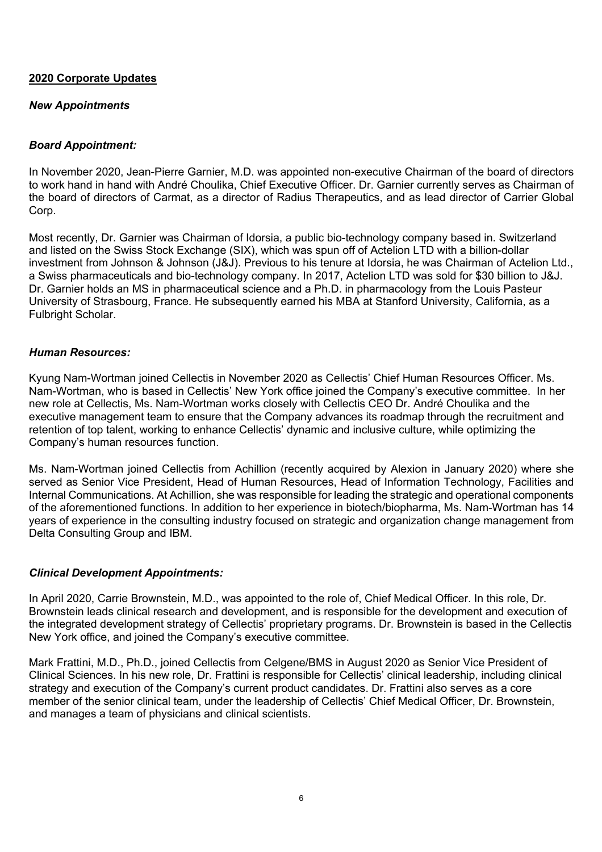#### **2020 Corporate Updates**

### *New Appointments*

## *Board Appointment:*

In November 2020, Jean-Pierre Garnier, M.D. was appointed non-executive Chairman of the board of directors to work hand in hand with André Choulika, Chief Executive Officer. Dr. Garnier currently serves as Chairman of the board of directors of Carmat, as a director of Radius Therapeutics, and as lead director of Carrier Global Corp.

Most recently, Dr. Garnier was Chairman of Idorsia, a public bio-technology company based in. Switzerland and listed on the Swiss Stock Exchange (SIX), which was spun off of Actelion LTD with a billion-dollar investment from Johnson & Johnson (J&J). Previous to his tenure at Idorsia, he was Chairman of Actelion Ltd., a Swiss pharmaceuticals and bio-technology company. In 2017, Actelion LTD was sold for \$30 billion to J&J. Dr. Garnier holds an MS in pharmaceutical science and a Ph.D. in pharmacology from the Louis Pasteur University of Strasbourg, France. He subsequently earned his MBA at Stanford University, California, as a Fulbright Scholar.

#### *Human Resources:*

Kyung Nam-Wortman joined Cellectis in November 2020 as Cellectis' Chief Human Resources Officer. Ms. Nam-Wortman, who is based in Cellectis' New York office joined the Company's executive committee. In her new role at Cellectis, Ms. Nam-Wortman works closely with Cellectis CEO Dr. André Choulika and the executive management team to ensure that the Company advances its roadmap through the recruitment and retention of top talent, working to enhance Cellectis' dynamic and inclusive culture, while optimizing the Company's human resources function.

Ms. Nam-Wortman joined Cellectis from Achillion (recently acquired by Alexion in January 2020) where she served as Senior Vice President, Head of Human Resources, Head of Information Technology, Facilities and Internal Communications. At Achillion, she was responsible for leading the strategic and operational components of the aforementioned functions. In addition to her experience in biotech/biopharma, Ms. Nam-Wortman has 14 years of experience in the consulting industry focused on strategic and organization change management from Delta Consulting Group and IBM.

#### *Clinical Development Appointments:*

In April 2020, Carrie Brownstein, M.D., was appointed to the role of, Chief Medical Officer. In this role, Dr. Brownstein leads clinical research and development, and is responsible for the development and execution of the integrated development strategy of Cellectis' proprietary programs. Dr. Brownstein is based in the Cellectis New York office, and joined the Company's executive committee.

Mark Frattini, M.D., Ph.D., joined Cellectis from Celgene/BMS in August 2020 as Senior Vice President of Clinical Sciences. In his new role, Dr. Frattini is responsible for Cellectis' clinical leadership, including clinical strategy and execution of the Company's current product candidates. Dr. Frattini also serves as a core member of the senior clinical team, under the leadership of Cellectis' Chief Medical Officer, Dr. Brownstein, and manages a team of physicians and clinical scientists.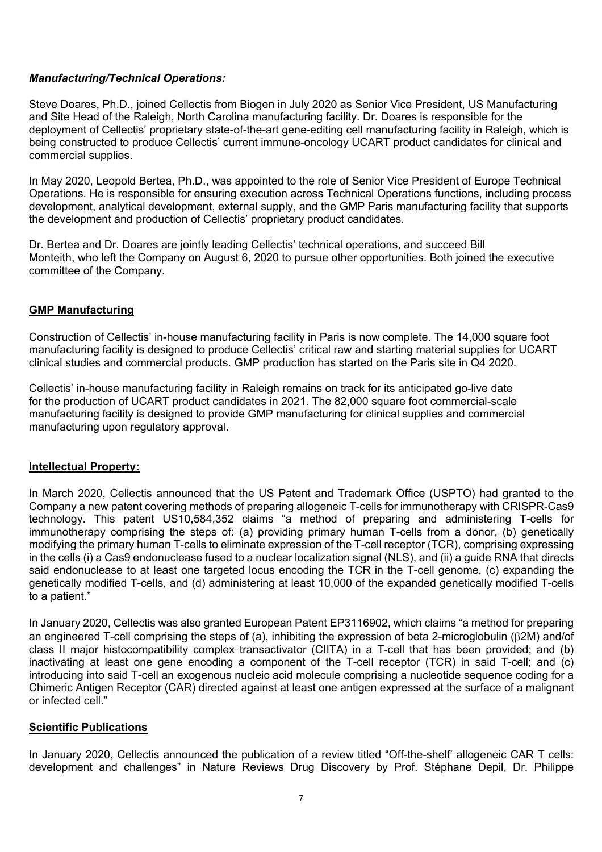## *Manufacturing/Technical Operations:*

Steve Doares, Ph.D., joined Cellectis from Biogen in July 2020 as Senior Vice President, US Manufacturing and Site Head of the Raleigh, North Carolina manufacturing facility. Dr. Doares is responsible for the deployment of Cellectis' proprietary state-of-the-art gene-editing cell manufacturing facility in Raleigh, which is being constructed to produce Cellectis' current immune-oncology UCART product candidates for clinical and commercial supplies.

In May 2020, Leopold Bertea, Ph.D., was appointed to the role of Senior Vice President of Europe Technical Operations. He is responsible for ensuring execution across Technical Operations functions, including process development, analytical development, external supply, and the GMP Paris manufacturing facility that supports the development and production of Cellectis' proprietary product candidates.

Dr. Bertea and Dr. Doares are jointly leading Cellectis' technical operations, and succeed Bill Monteith, who left the Company on August 6, 2020 to pursue other opportunities. Both joined the executive committee of the Company.

#### **GMP Manufacturing**

Construction of Cellectis' in-house manufacturing facility in Paris is now complete. The 14,000 square foot manufacturing facility is designed to produce Cellectis' critical raw and starting material supplies for UCART clinical studies and commercial products. GMP production has started on the Paris site in Q4 2020.

Cellectis' in-house manufacturing facility in Raleigh remains on track for its anticipated go-live date for the production of UCART product candidates in 2021. The 82,000 square foot commercial-scale manufacturing facility is designed to provide GMP manufacturing for clinical supplies and commercial manufacturing upon regulatory approval.

#### **Intellectual Property:**

In March 2020, Cellectis announced that the US Patent and Trademark Office (USPTO) had granted to the Company a new patent covering methods of preparing allogeneic T-cells for immunotherapy with CRISPR-Cas9 technology. This patent US10,584,352 claims "a method of preparing and administering T-cells for immunotherapy comprising the steps of: (a) providing primary human T-cells from a donor, (b) genetically modifying the primary human T-cells to eliminate expression of the T-cell receptor (TCR), comprising expressing in the cells (i) a Cas9 endonuclease fused to a nuclear localization signal (NLS), and (ii) a guide RNA that directs said endonuclease to at least one targeted locus encoding the TCR in the T-cell genome, (c) expanding the genetically modified T-cells, and (d) administering at least 10,000 of the expanded genetically modified T-cells to a patient."

In January 2020, Cellectis was also granted European Patent EP3116902, which claims "a method for preparing an engineered T-cell comprising the steps of (a), inhibiting the expression of beta 2-microglobulin ( $\beta$ 2M) and/of class II major histocompatibility complex transactivator (CIITA) in a T-cell that has been provided; and (b) inactivating at least one gene encoding a component of the T-cell receptor (TCR) in said T-cell; and (c) introducing into said T-cell an exogenous nucleic acid molecule comprising a nucleotide sequence coding for a Chimeric Antigen Receptor (CAR) directed against at least one antigen expressed at the surface of a malignant or infected cell."

#### **Scientific Publications**

In January 2020, Cellectis announced the publication of a review titled "Off-the-shelf' allogeneic CAR T cells: development and challenges" in Nature Reviews Drug Discovery by Prof. Stéphane Depil, Dr. Philippe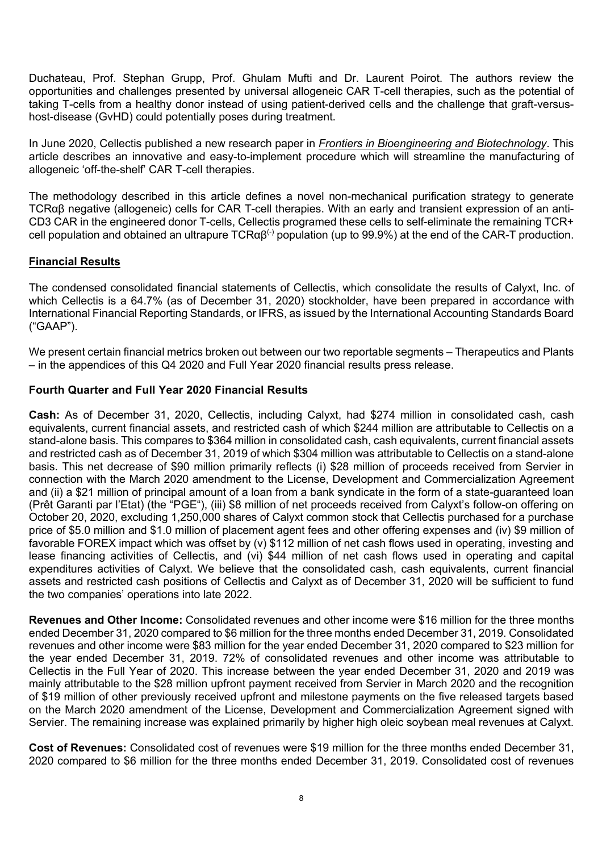Duchateau, Prof. Stephan Grupp, Prof. Ghulam Mufti and Dr. Laurent Poirot. The authors review the opportunities and challenges presented by universal allogeneic CAR T-cell therapies, such as the potential of taking T-cells from a healthy donor instead of using patient-derived cells and the challenge that graft-versushost-disease (GvHD) could potentially poses during treatment.

In June 2020, Cellectis published a new research paper in *Frontiers in Bioengineering and Biotechnology*. This article describes an innovative and easy-to-implement procedure which will streamline the manufacturing of allogeneic 'off-the-shelf' CAR T-cell therapies.

The methodology described in this article defines a novel non-mechanical purification strategy to generate TCRαβ negative (allogeneic) cells for CAR T-cell therapies. With an early and transient expression of an anti-CD3 CAR in the engineered donor T-cells, Cellectis programed these cells to self-eliminate the remaining TCR+ cell population and obtained an ultrapure TCRαβ(-) population (up to 99.9%) at the end of the CAR-T production.

## **Financial Results**

The condensed consolidated financial statements of Cellectis, which consolidate the results of Calyxt, Inc. of which Cellectis is a 64.7% (as of December 31, 2020) stockholder, have been prepared in accordance with International Financial Reporting Standards, or IFRS, as issued by the International Accounting Standards Board ("GAAP").

We present certain financial metrics broken out between our two reportable segments – Therapeutics and Plants – in the appendices of this Q4 2020 and Full Year 2020 financial results press release.

## **Fourth Quarter and Full Year 2020 Financial Results**

**Cash:** As of December 31, 2020, Cellectis, including Calyxt, had \$274 million in consolidated cash, cash equivalents, current financial assets, and restricted cash of which \$244 million are attributable to Cellectis on a stand-alone basis. This compares to \$364 million in consolidated cash, cash equivalents, current financial assets and restricted cash as of December 31, 2019 of which \$304 million was attributable to Cellectis on a stand-alone basis. This net decrease of \$90 million primarily reflects (i) \$28 million of proceeds received from Servier in connection with the March 2020 amendment to the License, Development and Commercialization Agreement and (ii) a \$21 million of principal amount of a loan from a bank syndicate in the form of a state-guaranteed loan (Prêt Garanti par l'Etat) (the "PGE"), (iii) \$8 million of net proceeds received from Calyxt's follow-on offering on October 20, 2020, excluding 1,250,000 shares of Calyxt common stock that Cellectis purchased for a purchase price of \$5.0 million and \$1.0 million of placement agent fees and other offering expenses and (iv) \$9 million of favorable FOREX impact which was offset by (v) \$112 million of net cash flows used in operating, investing and lease financing activities of Cellectis, and (vi) \$44 million of net cash flows used in operating and capital expenditures activities of Calyxt. We believe that the consolidated cash, cash equivalents, current financial assets and restricted cash positions of Cellectis and Calyxt as of December 31, 2020 will be sufficient to fund the two companies' operations into late 2022.

**Revenues and Other Income:** Consolidated revenues and other income were \$16 million for the three months ended December 31, 2020 compared to \$6 million for the three months ended December 31, 2019. Consolidated revenues and other income were \$83 million for the year ended December 31, 2020 compared to \$23 million for the year ended December 31, 2019. 72% of consolidated revenues and other income was attributable to Cellectis in the Full Year of 2020. This increase between the year ended December 31, 2020 and 2019 was mainly attributable to the \$28 million upfront payment received from Servier in March 2020 and the recognition of \$19 million of other previously received upfront and milestone payments on the five released targets based on the March 2020 amendment of the License, Development and Commercialization Agreement signed with Servier. The remaining increase was explained primarily by higher high oleic soybean meal revenues at Calyxt.

**Cost of Revenues:** Consolidated cost of revenues were \$19 million for the three months ended December 31, 2020 compared to \$6 million for the three months ended December 31, 2019. Consolidated cost of revenues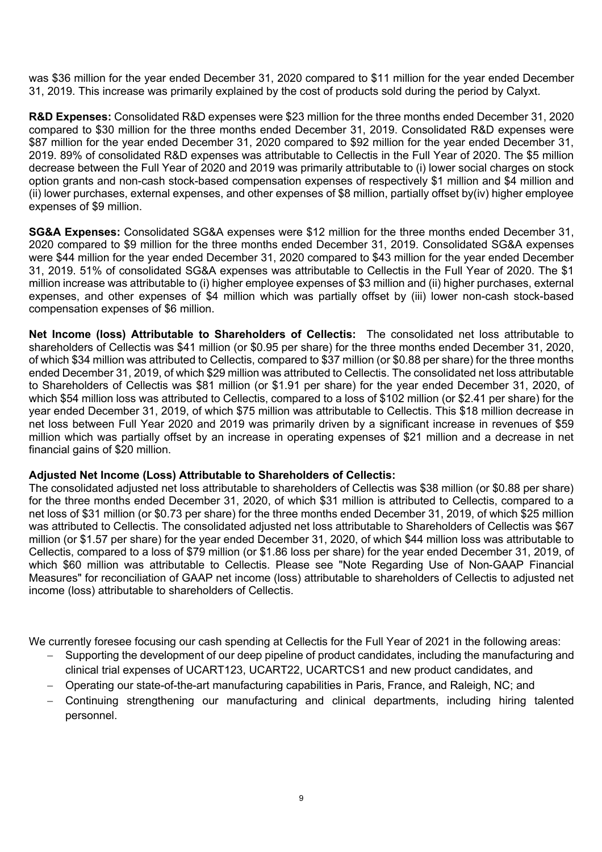was \$36 million for the year ended December 31, 2020 compared to \$11 million for the year ended December 31, 2019. This increase was primarily explained by the cost of products sold during the period by Calyxt.

**R&D Expenses:** Consolidated R&D expenses were \$23 million for the three months ended December 31, 2020 compared to \$30 million for the three months ended December 31, 2019. Consolidated R&D expenses were \$87 million for the year ended December 31, 2020 compared to \$92 million for the year ended December 31, 2019. 89% of consolidated R&D expenses was attributable to Cellectis in the Full Year of 2020. The \$5 million decrease between the Full Year of 2020 and 2019 was primarily attributable to (i) lower social charges on stock option grants and non-cash stock-based compensation expenses of respectively \$1 million and \$4 million and (ii) lower purchases, external expenses, and other expenses of \$8 million, partially offset by(iv) higher employee expenses of \$9 million.

**SG&A Expenses:** Consolidated SG&A expenses were \$12 million for the three months ended December 31, 2020 compared to \$9 million for the three months ended December 31, 2019. Consolidated SG&A expenses were \$44 million for the year ended December 31, 2020 compared to \$43 million for the year ended December 31, 2019. 51% of consolidated SG&A expenses was attributable to Cellectis in the Full Year of 2020. The \$1 million increase was attributable to (i) higher employee expenses of \$3 million and (ii) higher purchases, external expenses, and other expenses of \$4 million which was partially offset by (iii) lower non-cash stock-based compensation expenses of \$6 million.

**Net Income (loss) Attributable to Shareholders of Cellectis:** The consolidated net loss attributable to shareholders of Cellectis was \$41 million (or \$0.95 per share) for the three months ended December 31, 2020, of which \$34 million was attributed to Cellectis, compared to \$37 million (or \$0.88 per share) for the three months ended December 31, 2019, of which \$29 million was attributed to Cellectis. The consolidated net loss attributable to Shareholders of Cellectis was \$81 million (or \$1.91 per share) for the year ended December 31, 2020, of which \$54 million loss was attributed to Cellectis, compared to a loss of \$102 million (or \$2.41 per share) for the year ended December 31, 2019, of which \$75 million was attributable to Cellectis. This \$18 million decrease in net loss between Full Year 2020 and 2019 was primarily driven by a significant increase in revenues of \$59 million which was partially offset by an increase in operating expenses of \$21 million and a decrease in net financial gains of \$20 million.

#### **Adjusted Net Income (Loss) Attributable to Shareholders of Cellectis:**

The consolidated adjusted net loss attributable to shareholders of Cellectis was \$38 million (or \$0.88 per share) for the three months ended December 31, 2020, of which \$31 million is attributed to Cellectis, compared to a net loss of \$31 million (or \$0.73 per share) for the three months ended December 31, 2019, of which \$25 million was attributed to Cellectis. The consolidated adjusted net loss attributable to Shareholders of Cellectis was \$67 million (or \$1.57 per share) for the year ended December 31, 2020, of which \$44 million loss was attributable to Cellectis, compared to a loss of \$79 million (or \$1.86 loss per share) for the year ended December 31, 2019, of which \$60 million was attributable to Cellectis. Please see "Note Regarding Use of Non-GAAP Financial Measures" for reconciliation of GAAP net income (loss) attributable to shareholders of Cellectis to adjusted net income (loss) attributable to shareholders of Cellectis.

We currently foresee focusing our cash spending at Cellectis for the Full Year of 2021 in the following areas:

- Supporting the development of our deep pipeline of product candidates, including the manufacturing and clinical trial expenses of UCART123, UCART22, UCARTCS1 and new product candidates, and
- Operating our state-of-the-art manufacturing capabilities in Paris, France, and Raleigh, NC; and
- Continuing strengthening our manufacturing and clinical departments, including hiring talented personnel.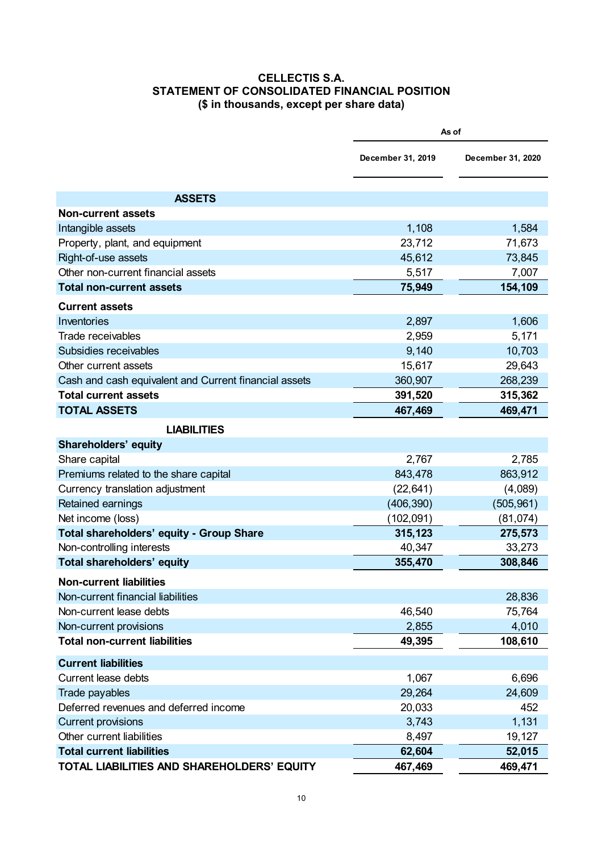#### **CELLECTIS S.A. STATEMENT OF CONSOLIDATED FINANCIAL POSITION (\$ in thousands, except per share data)**

|                                                       | As of             |                   |  |
|-------------------------------------------------------|-------------------|-------------------|--|
|                                                       | December 31, 2019 | December 31, 2020 |  |
| <b>ASSETS</b>                                         |                   |                   |  |
| <b>Non-current assets</b>                             |                   |                   |  |
| Intangible assets                                     | 1,108             | 1,584             |  |
| Property, plant, and equipment                        | 23,712            | 71,673            |  |
| Right-of-use assets                                   | 45,612            | 73,845            |  |
| Other non-current financial assets                    | 5,517             | 7,007             |  |
| <b>Total non-current assets</b>                       | 75,949            | 154,109           |  |
| <b>Current assets</b>                                 |                   |                   |  |
| Inventories                                           | 2,897             | 1,606             |  |
| Trade receivables                                     | 2,959             | 5,171             |  |
| Subsidies receivables                                 | 9,140             | 10,703            |  |
| Other current assets                                  | 15,617            | 29,643            |  |
| Cash and cash equivalent and Current financial assets | 360,907           | 268,239           |  |
| <b>Total current assets</b>                           | 391,520           | 315,362           |  |
| <b>TOTAL ASSETS</b>                                   | 467,469           | 469,471           |  |
| <b>LIABILITIES</b>                                    |                   |                   |  |
| <b>Shareholders' equity</b>                           |                   |                   |  |
| Share capital                                         | 2,767             | 2,785             |  |
| Premiums related to the share capital                 | 843,478           | 863,912           |  |
| Currency translation adjustment                       | (22, 641)         | (4,089)           |  |
| Retained earnings                                     | (406, 390)        | (505, 961)        |  |
| Net income (loss)                                     | (102, 091)        | (81, 074)         |  |
| Total shareholders' equity - Group Share              | 315,123           | 275,573           |  |
| Non-controlling interests                             | 40,347            | 33,273            |  |
| <b>Total shareholders' equity</b>                     | 355,470           | 308,846           |  |
| <b>Non-current liabilities</b>                        |                   |                   |  |
| Non-current financial liabilities                     |                   | 28,836            |  |
| Non-current lease debts                               | 46,540            | 75,764            |  |
| Non-current provisions                                | 2,855             | 4,010             |  |
| <b>Total non-current liabilities</b>                  | 49,395            | 108,610           |  |
| <b>Current liabilities</b>                            |                   |                   |  |
| <b>Current lease debts</b>                            | 1,067             | 6,696             |  |
| Trade payables                                        | 29,264            | 24,609            |  |
| Deferred revenues and deferred income                 | 20,033            | 452               |  |
| <b>Current provisions</b>                             | 3,743             | 1,131             |  |
| Other current liabilities                             | 8,497             | 19,127            |  |
| <b>Total current liabilities</b>                      | 62,604            | 52,015            |  |
| TOTAL LIABILITIES AND SHAREHOLDERS' EQUITY            | 467,469           | 469,471           |  |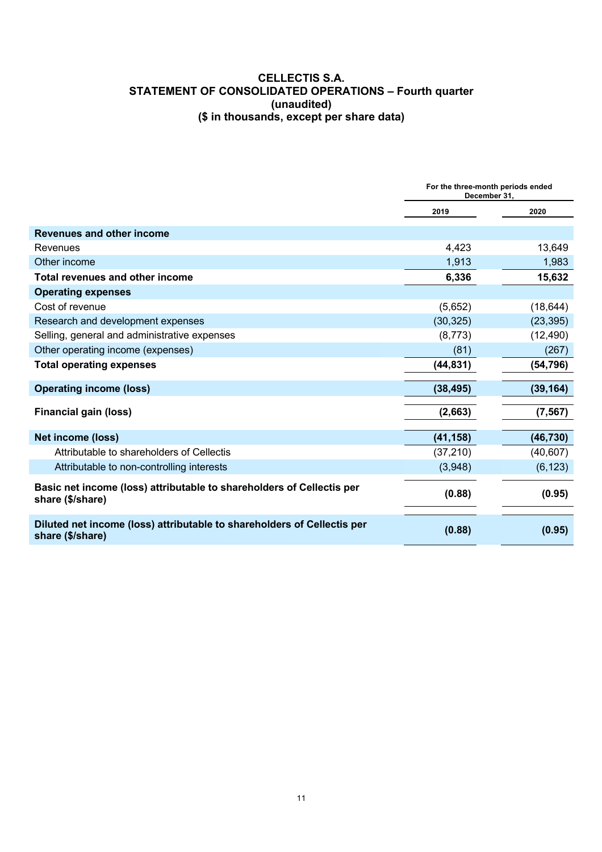#### **CELLECTIS S.A. STATEMENT OF CONSOLIDATED OPERATIONS – Fourth quarter (unaudited) (\$ in thousands, except per share data)**

|                                                                                             | For the three-month periods ended<br>December 31, |           |
|---------------------------------------------------------------------------------------------|---------------------------------------------------|-----------|
|                                                                                             | 2019                                              | 2020      |
| <b>Revenues and other income</b>                                                            |                                                   |           |
| Revenues                                                                                    | 4,423                                             | 13,649    |
| Other income                                                                                | 1,913                                             | 1,983     |
| <b>Total revenues and other income</b>                                                      | 6,336                                             | 15,632    |
| <b>Operating expenses</b>                                                                   |                                                   |           |
| Cost of revenue                                                                             | (5,652)                                           | (18, 644) |
| Research and development expenses                                                           | (30, 325)                                         | (23, 395) |
| Selling, general and administrative expenses                                                | (8, 773)                                          | (12, 490) |
| Other operating income (expenses)                                                           | (81)                                              | (267)     |
| <b>Total operating expenses</b>                                                             | (44, 831)                                         | (54, 796) |
| <b>Operating income (loss)</b>                                                              | (38, 495)                                         | (39, 164) |
| <b>Financial gain (loss)</b>                                                                | (2,663)                                           | (7, 567)  |
| <b>Net income (loss)</b>                                                                    | (41, 158)                                         | (46, 730) |
| Attributable to shareholders of Cellectis                                                   | (37, 210)                                         | (40, 607) |
| Attributable to non-controlling interests                                                   | (3,948)                                           | (6, 123)  |
| Basic net income (loss) attributable to shareholders of Cellectis per<br>share (\$/share)   | (0.88)                                            | (0.95)    |
| Diluted net income (loss) attributable to shareholders of Cellectis per<br>share (\$/share) | (0.88)                                            | (0.95)    |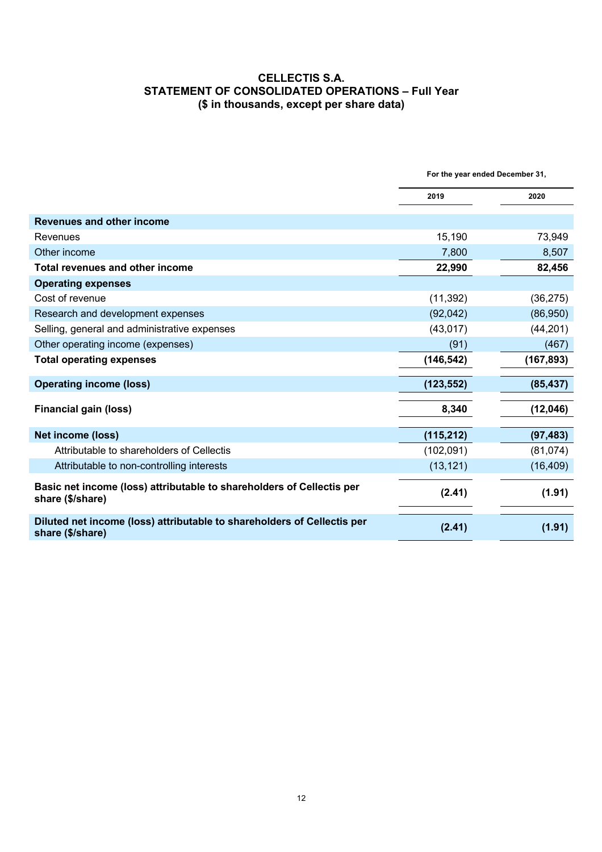#### **CELLECTIS S.A. STATEMENT OF CONSOLIDATED OPERATIONS – Full Year (\$ in thousands, except per share data)**

|                                                                                             | For the year ended December 31, |            |
|---------------------------------------------------------------------------------------------|---------------------------------|------------|
|                                                                                             | 2019                            | 2020       |
| <b>Revenues and other income</b>                                                            |                                 |            |
| Revenues                                                                                    | 15,190                          | 73,949     |
| Other income                                                                                | 7,800                           | 8,507      |
| Total revenues and other income                                                             | 22,990                          | 82,456     |
| <b>Operating expenses</b>                                                                   |                                 |            |
| Cost of revenue                                                                             | (11, 392)                       | (36, 275)  |
| Research and development expenses                                                           | (92,042)                        | (86,950)   |
| Selling, general and administrative expenses                                                | (43, 017)                       | (44, 201)  |
| Other operating income (expenses)                                                           | (91)                            | (467)      |
| <b>Total operating expenses</b>                                                             | (146, 542)                      | (167, 893) |
| <b>Operating income (loss)</b>                                                              | (123, 552)                      | (85, 437)  |
| <b>Financial gain (loss)</b>                                                                | 8,340                           | (12,046)   |
| <b>Net income (loss)</b>                                                                    | (115, 212)                      | (97, 483)  |
| Attributable to shareholders of Cellectis                                                   | (102,091)                       | (81, 074)  |
| Attributable to non-controlling interests                                                   | (13, 121)                       | (16, 409)  |
| Basic net income (loss) attributable to shareholders of Cellectis per<br>share (\$/share)   | (2.41)                          | (1.91)     |
| Diluted net income (loss) attributable to shareholders of Cellectis per<br>share (\$/share) | (2.41)                          | (1.91)     |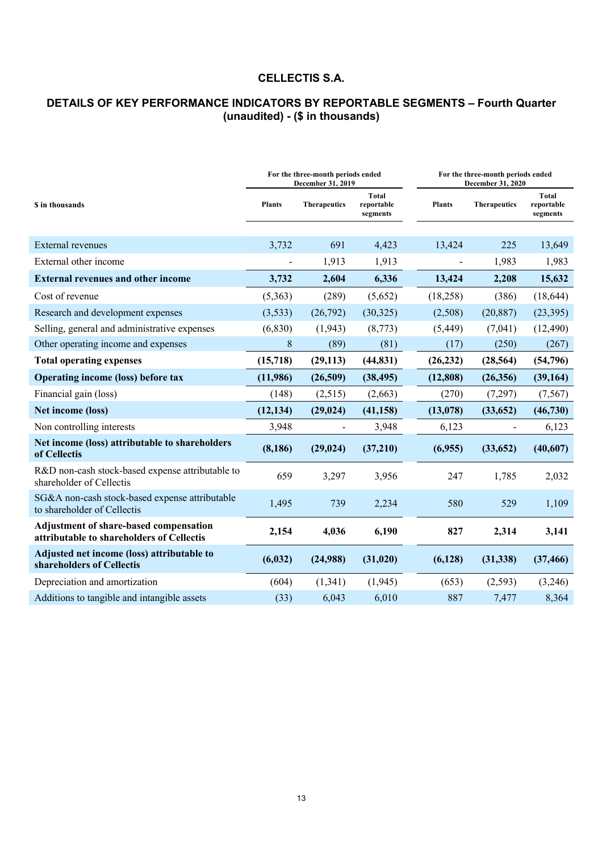# **CELLECTIS S.A.**

# **DETAILS OF KEY PERFORMANCE INDICATORS BY REPORTABLE SEGMENTS – Fourth Quarter (unaudited) - (\$ in thousands)**

|                                                                                            | For the three-month periods ended<br>December 31, 2019 |                          |                                        | For the three-month periods ended<br>December 31, 2020 |                     |                                        |
|--------------------------------------------------------------------------------------------|--------------------------------------------------------|--------------------------|----------------------------------------|--------------------------------------------------------|---------------------|----------------------------------------|
| <b>S</b> in thousands                                                                      | <b>Plants</b>                                          | <b>Therapeutics</b>      | <b>Total</b><br>reportable<br>segments | <b>Plants</b>                                          | <b>Therapeutics</b> | <b>Total</b><br>reportable<br>segments |
|                                                                                            |                                                        |                          |                                        |                                                        |                     |                                        |
| <b>External revenues</b>                                                                   | 3,732                                                  | 691                      | 4,423                                  | 13,424                                                 | 225                 | 13,649                                 |
| External other income                                                                      |                                                        | 1,913                    | 1,913                                  |                                                        | 1,983               | 1,983                                  |
| <b>External revenues and other income</b>                                                  | 3,732                                                  | 2,604                    | 6,336                                  | 13,424                                                 | 2,208               | 15,632                                 |
| Cost of revenue                                                                            | (5,363)                                                | (289)                    | (5,652)                                | (18,258)                                               | (386)               | (18, 644)                              |
| Research and development expenses                                                          | (3,533)                                                | (26,792)                 | (30, 325)                              | (2,508)                                                | (20, 887)           | (23, 395)                              |
| Selling, general and administrative expenses                                               | (6, 830)                                               | (1, 943)                 | (8,773)                                | (5, 449)                                               | (7,041)             | (12, 490)                              |
| Other operating income and expenses                                                        | 8                                                      | (89)                     | (81)                                   | (17)                                                   | (250)               | (267)                                  |
| <b>Total operating expenses</b>                                                            | (15,718)                                               | (29, 113)                | (44, 831)                              | (26, 232)                                              | (28, 564)           | (54, 796)                              |
| <b>Operating income (loss) before tax</b>                                                  | (11,986)                                               | (26,509)                 | (38, 495)                              | (12, 808)                                              | (26, 356)           | (39, 164)                              |
| Financial gain (loss)                                                                      | (148)                                                  | (2,515)                  | (2,663)                                | (270)                                                  | (7,297)             | (7, 567)                               |
| Net income (loss)                                                                          | (12, 134)                                              | (29, 024)                | (41, 158)                              | (13,078)                                               | (33, 652)           | (46,730)                               |
| Non controlling interests                                                                  | 3,948                                                  | $\overline{\phantom{a}}$ | 3,948                                  | 6,123                                                  |                     | 6,123                                  |
| Net income (loss) attributable to shareholders<br>of Cellectis                             | (8, 186)                                               | (29, 024)                | (37,210)                               | (6,955)                                                | (33, 652)           | (40,607)                               |
| R&D non-cash stock-based expense attributable to<br>shareholder of Cellectis               | 659                                                    | 3,297                    | 3,956                                  | 247                                                    | 1,785               | 2,032                                  |
| SG&A non-cash stock-based expense attributable<br>to shareholder of Cellectis              | 1,495                                                  | 739                      | 2,234                                  | 580                                                    | 529                 | 1,109                                  |
| <b>Adjustment of share-based compensation</b><br>attributable to shareholders of Cellectis | 2,154                                                  | 4,036                    | 6,190                                  | 827                                                    | 2,314               | 3,141                                  |
| Adjusted net income (loss) attributable to<br>shareholders of Cellectis                    | (6, 032)                                               | (24,988)                 | (31, 020)                              | (6,128)                                                | (31, 338)           | (37, 466)                              |
| Depreciation and amortization                                                              | (604)                                                  | (1, 341)                 | (1,945)                                | (653)                                                  | (2,593)             | (3,246)                                |
| Additions to tangible and intangible assets                                                | (33)                                                   | 6,043                    | 6,010                                  | 887                                                    | 7,477               | 8,364                                  |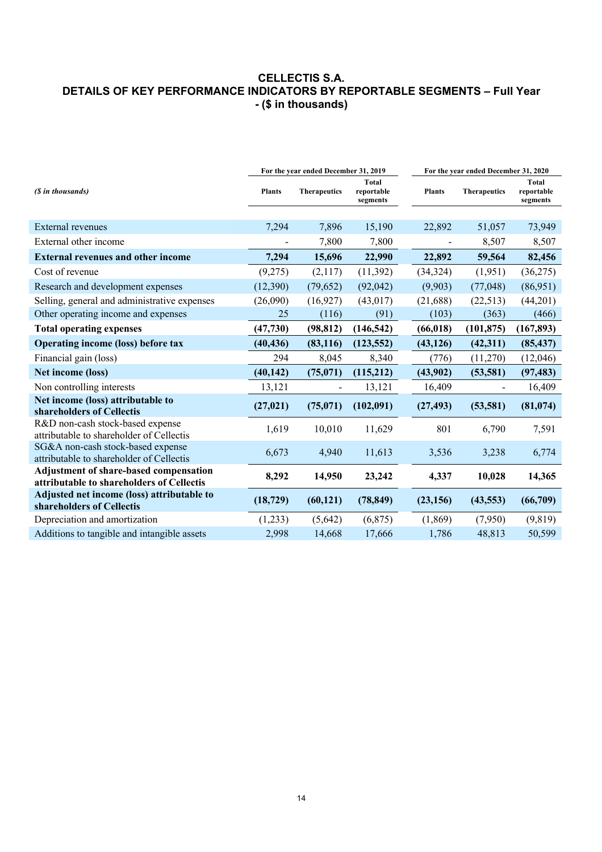### **CELLECTIS S.A. DETAILS OF KEY PERFORMANCE INDICATORS BY REPORTABLE SEGMENTS – Full Year - (\$ in thousands)**

|                                                                                            | For the year ended December 31, 2019 |                     |                                        | For the year ended December 31, 2020 |                     |                                 |
|--------------------------------------------------------------------------------------------|--------------------------------------|---------------------|----------------------------------------|--------------------------------------|---------------------|---------------------------------|
| (\$ in thousands)                                                                          | <b>Plants</b>                        | <b>Therapeutics</b> | <b>Total</b><br>reportable<br>segments | <b>Plants</b>                        | <b>Therapeutics</b> | Total<br>reportable<br>segments |
|                                                                                            |                                      |                     |                                        |                                      |                     |                                 |
| <b>External</b> revenues                                                                   | 7,294                                | 7,896               | 15,190                                 | 22,892                               | 51,057              | 73,949                          |
| External other income                                                                      |                                      | 7,800               | 7,800                                  | $\overline{\phantom{m}}$             | 8,507               | 8,507                           |
| <b>External revenues and other income</b>                                                  | 7,294                                | 15,696              | 22,990                                 | 22,892                               | 59,564              | 82,456                          |
| Cost of revenue                                                                            | (9,275)                              | (2,117)             | (11,392)                               | (34, 324)                            | (1,951)             | (36,275)                        |
| Research and development expenses                                                          | (12,390)                             | (79, 652)           | (92,042)                               | (9,903)                              | (77, 048)           | (86,951)                        |
| Selling, general and administrative expenses                                               | (26,090)                             | (16,927)            | (43, 017)                              | (21, 688)                            | (22, 513)           | (44,201)                        |
| Other operating income and expenses                                                        | 25                                   | (116)               | (91)                                   | (103)                                | (363)               | (466)                           |
| <b>Total operating expenses</b>                                                            | (47, 730)                            | (98, 812)           | (146, 542)                             | (66, 018)                            | (101, 875)          | (167, 893)                      |
| Operating income (loss) before tax                                                         | (40, 436)                            | (83, 116)           | (123, 552)                             | (43, 126)                            | (42, 311)           | (85, 437)                       |
| Financial gain (loss)                                                                      | 294                                  | 8,045               | 8,340                                  | (776)                                | (11,270)            | (12,046)                        |
| Net income (loss)                                                                          | (40, 142)                            | (75,071)            | (115,212)                              | (43,902)                             | (53, 581)           | (97, 483)                       |
| Non controlling interests                                                                  | 13,121                               |                     | 13,121                                 | 16,409                               |                     | 16,409                          |
| Net income (loss) attributable to<br>shareholders of Cellectis                             | (27, 021)                            | (75,071)            | (102,091)                              | (27, 493)                            | (53, 581)           | (81, 074)                       |
| R&D non-cash stock-based expense<br>attributable to shareholder of Cellectis               | 1,619                                | 10,010              | 11,629                                 | 801                                  | 6,790               | 7,591                           |
| SG&A non-cash stock-based expense<br>attributable to shareholder of Cellectis              | 6,673                                | 4,940               | 11,613                                 | 3,536                                | 3,238               | 6,774                           |
| <b>Adjustment of share-based compensation</b><br>attributable to shareholders of Cellectis | 8,292                                | 14,950              | 23,242                                 | 4,337                                | 10,028              | 14,365                          |
| Adjusted net income (loss) attributable to<br>shareholders of Cellectis                    | (18, 729)                            | (60, 121)           | (78, 849)                              | (23, 156)                            | (43, 553)           | (66,709)                        |
| Depreciation and amortization                                                              | (1,233)                              | (5,642)             | (6,875)                                | (1,869)                              | (7,950)             | (9,819)                         |
| Additions to tangible and intangible assets                                                | 2,998                                | 14,668              | 17,666                                 | 1,786                                | 48,813              | 50,599                          |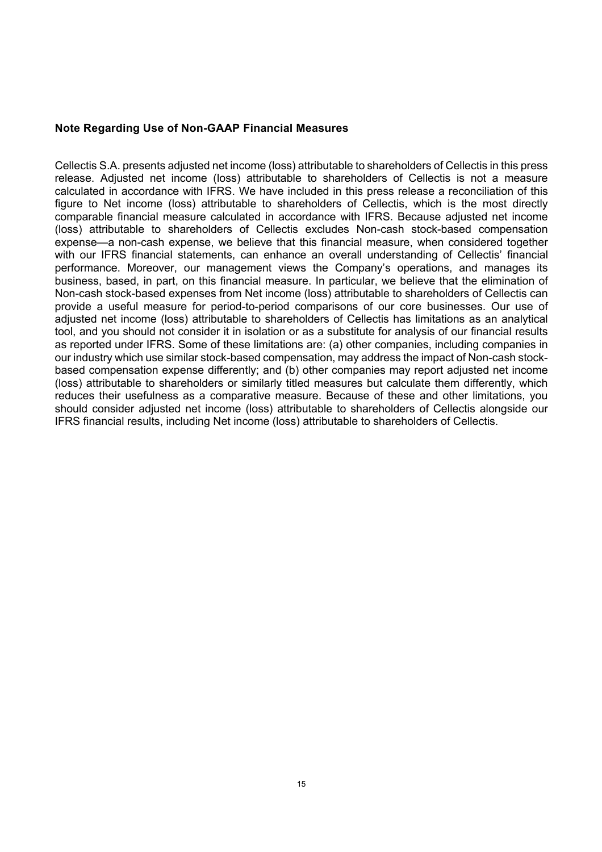#### **Note Regarding Use of Non-GAAP Financial Measures**

Cellectis S.A. presents adjusted net income (loss) attributable to shareholders of Cellectis in this press release. Adjusted net income (loss) attributable to shareholders of Cellectis is not a measure calculated in accordance with IFRS. We have included in this press release a reconciliation of this figure to Net income (loss) attributable to shareholders of Cellectis, which is the most directly comparable financial measure calculated in accordance with IFRS. Because adjusted net income (loss) attributable to shareholders of Cellectis excludes Non-cash stock-based compensation expense—a non-cash expense, we believe that this financial measure, when considered together with our IFRS financial statements, can enhance an overall understanding of Cellectis' financial performance. Moreover, our management views the Company's operations, and manages its business, based, in part, on this financial measure. In particular, we believe that the elimination of Non-cash stock-based expenses from Net income (loss) attributable to shareholders of Cellectis can provide a useful measure for period-to-period comparisons of our core businesses. Our use of adjusted net income (loss) attributable to shareholders of Cellectis has limitations as an analytical tool, and you should not consider it in isolation or as a substitute for analysis of our financial results as reported under IFRS. Some of these limitations are: (a) other companies, including companies in our industry which use similar stock-based compensation, may address the impact of Non-cash stockbased compensation expense differently; and (b) other companies may report adjusted net income (loss) attributable to shareholders or similarly titled measures but calculate them differently, which reduces their usefulness as a comparative measure. Because of these and other limitations, you should consider adjusted net income (loss) attributable to shareholders of Cellectis alongside our IFRS financial results, including Net income (loss) attributable to shareholders of Cellectis.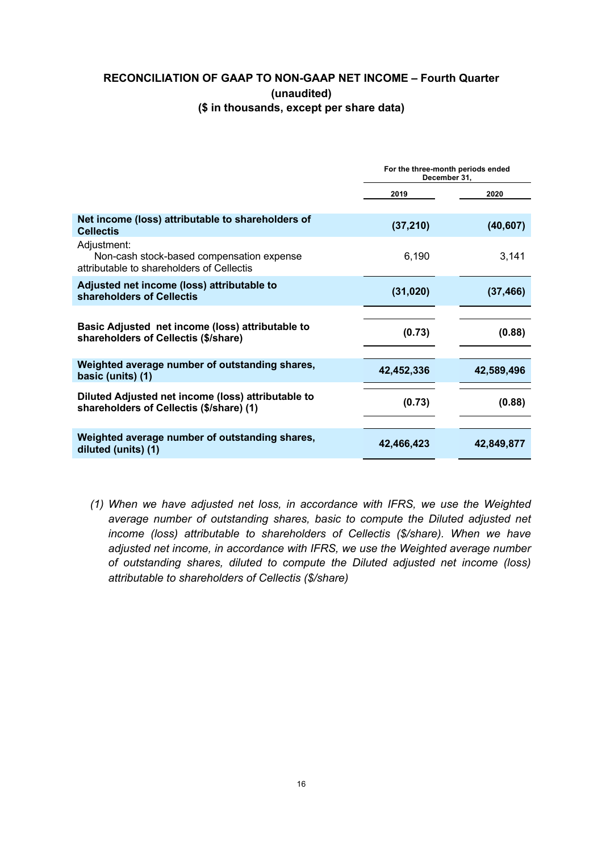## **RECONCILIATION OF GAAP TO NON-GAAP NET INCOME – Fourth Quarter (unaudited) (\$ in thousands, except per share data)**

|                                                                                                       | For the three-month periods ended<br>December 31, |            |  |
|-------------------------------------------------------------------------------------------------------|---------------------------------------------------|------------|--|
|                                                                                                       | 2019                                              | 2020       |  |
| Net income (loss) attributable to shareholders of<br><b>Cellectis</b>                                 | (37, 210)                                         | (40, 607)  |  |
| Adjustment:<br>Non-cash stock-based compensation expense<br>attributable to shareholders of Cellectis | 6,190                                             | 3,141      |  |
| Adjusted net income (loss) attributable to<br>shareholders of Cellectis                               | (31, 020)                                         | (37, 466)  |  |
| Basic Adjusted net income (loss) attributable to<br>shareholders of Cellectis (\$/share)              | (0.73)                                            | (0.88)     |  |
| Weighted average number of outstanding shares,<br>basic (units) (1)                                   | 42,452,336                                        | 42,589,496 |  |
| Diluted Adjusted net income (loss) attributable to<br>shareholders of Cellectis (\$/share) (1)        | (0.73)                                            | (0.88)     |  |
| Weighted average number of outstanding shares,<br>diluted (units) (1)                                 | 42,466,423                                        | 42,849,877 |  |

*(1) When we have adjusted net loss, in accordance with IFRS, we use the Weighted average number of outstanding shares, basic to compute the Diluted adjusted net income (loss) attributable to shareholders of Cellectis (\$/share). When we have adjusted net income, in accordance with IFRS, we use the Weighted average number of outstanding shares, diluted to compute the Diluted adjusted net income (loss) attributable to shareholders of Cellectis (\$/share)*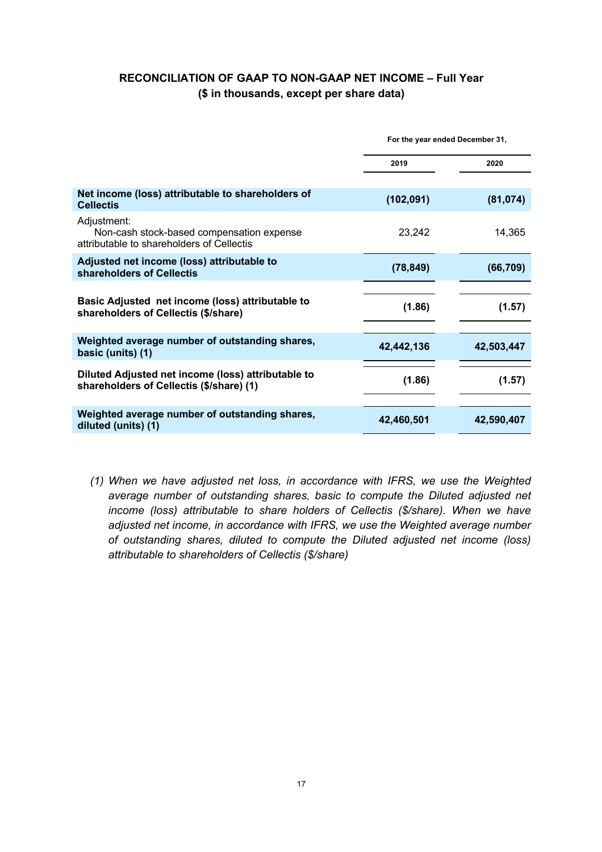## **RECONCILIATION OF GAAP TO NON-GAAP NET INCOME – Full Year (\$ in thousands, except per share data)**

|                                                                                                       | For the year ended December 31, |            |  |
|-------------------------------------------------------------------------------------------------------|---------------------------------|------------|--|
|                                                                                                       | 2019                            | 2020       |  |
| Net income (loss) attributable to shareholders of<br><b>Cellectis</b>                                 | (102, 091)                      | (81, 074)  |  |
| Adjustment:<br>Non-cash stock-based compensation expense<br>attributable to shareholders of Cellectis | 23,242                          | 14,365     |  |
| Adjusted net income (loss) attributable to<br>shareholders of Cellectis                               | (78, 849)                       | (66, 709)  |  |
| Basic Adjusted net income (loss) attributable to<br>shareholders of Cellectis (\$/share)              | (1.86)                          | (1.57)     |  |
| Weighted average number of outstanding shares,<br>basic (units) (1)                                   | 42,442,136                      | 42,503,447 |  |
| Diluted Adjusted net income (loss) attributable to<br>shareholders of Cellectis (\$/share) (1)        | (1.86)                          | (1.57)     |  |
| Weighted average number of outstanding shares,<br>diluted (units) (1)                                 | 42,460,501                      | 42,590,407 |  |

*(1) When we have adjusted net loss, in accordance with IFRS, we use the Weighted average number of outstanding shares, basic to compute the Diluted adjusted net income (loss) attributable to share holders of Cellectis (\$/share). When we have adjusted net income, in accordance with IFRS, we use the Weighted average number of outstanding shares, diluted to compute the Diluted adjusted net income (loss) attributable to shareholders of Cellectis (\$/share)*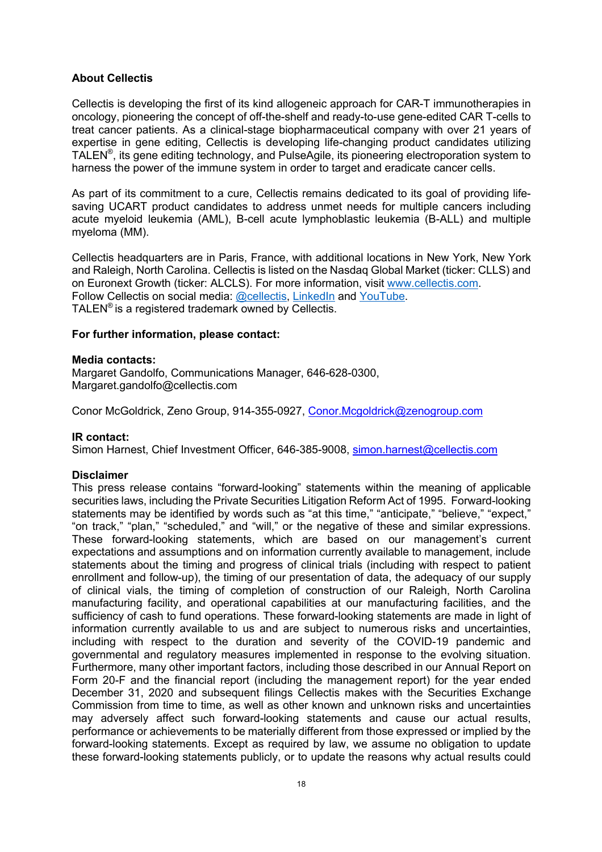#### **About Cellectis**

Cellectis is developing the first of its kind allogeneic approach for CAR-T immunotherapies in oncology, pioneering the concept of off-the-shelf and ready-to-use gene-edited CAR T-cells to treat cancer patients. As a clinical-stage biopharmaceutical company with over 21 years of expertise in gene editing, Cellectis is developing life-changing product candidates utilizing TALEN<sup>®</sup>, its gene editing technology, and PulseAgile, its pioneering electroporation system to harness the power of the immune system in order to target and eradicate cancer cells.

As part of its commitment to a cure, Cellectis remains dedicated to its goal of providing lifesaving UCART product candidates to address unmet needs for multiple cancers including acute myeloid leukemia (AML), B-cell acute lymphoblastic leukemia (B-ALL) and multiple myeloma (MM).

Cellectis headquarters are in Paris, France, with additional locations in New York, New York and Raleigh, North Carolina. Cellectis is listed on the Nasdaq Global Market (ticker: CLLS) and on Euronext Growth (ticker: ALCLS). For more information, visit www.cellectis.com. Follow Cellectis on social media: @cellectis, LinkedIn and YouTube. TALEN® is a registered trademark owned by Cellectis.

#### **For further information, please contact:**

#### **Media contacts:**

Margaret Gandolfo, Communications Manager, 646-628-0300, Margaret.gandolfo@cellectis.com

Conor McGoldrick, Zeno Group, 914-355-0927, Conor.Mcgoldrick@zenogroup.com

#### **IR contact:**

Simon Harnest, Chief Investment Officer, 646-385-9008, simon.harnest@cellectis.com

#### **Disclaimer**

This press release contains "forward-looking" statements within the meaning of applicable securities laws, including the Private Securities Litigation Reform Act of 1995. Forward-looking statements may be identified by words such as "at this time," "anticipate," "believe," "expect," "on track," "plan," "scheduled," and "will," or the negative of these and similar expressions. These forward-looking statements, which are based on our management's current expectations and assumptions and on information currently available to management, include statements about the timing and progress of clinical trials (including with respect to patient enrollment and follow-up), the timing of our presentation of data, the adequacy of our supply of clinical vials, the timing of completion of construction of our Raleigh, North Carolina manufacturing facility, and operational capabilities at our manufacturing facilities, and the sufficiency of cash to fund operations. These forward-looking statements are made in light of information currently available to us and are subject to numerous risks and uncertainties, including with respect to the duration and severity of the COVID-19 pandemic and governmental and regulatory measures implemented in response to the evolving situation. Furthermore, many other important factors, including those described in our Annual Report on Form 20-F and the financial report (including the management report) for the year ended December 31, 2020 and subsequent filings Cellectis makes with the Securities Exchange Commission from time to time, as well as other known and unknown risks and uncertainties may adversely affect such forward-looking statements and cause our actual results, performance or achievements to be materially different from those expressed or implied by the forward-looking statements. Except as required by law, we assume no obligation to update these forward-looking statements publicly, or to update the reasons why actual results could